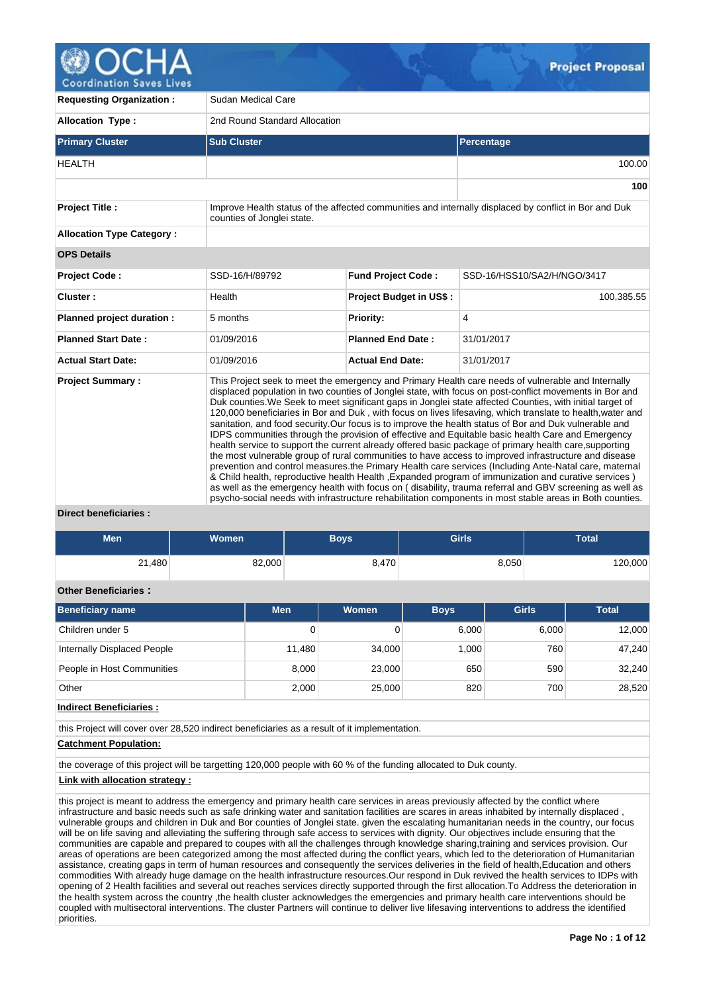

| <b>Requesting Organization:</b>                   | Sudan Medical Care            |                                                                                                                                                                                                                                                                                                                                                                                                                                                                                                                                                                                                                                                                                                                                                                                                                                                                                                                                                                                                                                                                                                                                                                                                                                                                                                                    |                                                                                                       |  |  |  |  |  |  |  |
|---------------------------------------------------|-------------------------------|--------------------------------------------------------------------------------------------------------------------------------------------------------------------------------------------------------------------------------------------------------------------------------------------------------------------------------------------------------------------------------------------------------------------------------------------------------------------------------------------------------------------------------------------------------------------------------------------------------------------------------------------------------------------------------------------------------------------------------------------------------------------------------------------------------------------------------------------------------------------------------------------------------------------------------------------------------------------------------------------------------------------------------------------------------------------------------------------------------------------------------------------------------------------------------------------------------------------------------------------------------------------------------------------------------------------|-------------------------------------------------------------------------------------------------------|--|--|--|--|--|--|--|
| <b>Allocation Type:</b>                           | 2nd Round Standard Allocation |                                                                                                                                                                                                                                                                                                                                                                                                                                                                                                                                                                                                                                                                                                                                                                                                                                                                                                                                                                                                                                                                                                                                                                                                                                                                                                                    |                                                                                                       |  |  |  |  |  |  |  |
| <b>Primary Cluster</b>                            | <b>Sub Cluster</b>            |                                                                                                                                                                                                                                                                                                                                                                                                                                                                                                                                                                                                                                                                                                                                                                                                                                                                                                                                                                                                                                                                                                                                                                                                                                                                                                                    | Percentage                                                                                            |  |  |  |  |  |  |  |
| <b>HEALTH</b>                                     |                               |                                                                                                                                                                                                                                                                                                                                                                                                                                                                                                                                                                                                                                                                                                                                                                                                                                                                                                                                                                                                                                                                                                                                                                                                                                                                                                                    | 100.00                                                                                                |  |  |  |  |  |  |  |
|                                                   |                               |                                                                                                                                                                                                                                                                                                                                                                                                                                                                                                                                                                                                                                                                                                                                                                                                                                                                                                                                                                                                                                                                                                                                                                                                                                                                                                                    | 100                                                                                                   |  |  |  |  |  |  |  |
| <b>Project Title:</b>                             | counties of Jonglei state.    |                                                                                                                                                                                                                                                                                                                                                                                                                                                                                                                                                                                                                                                                                                                                                                                                                                                                                                                                                                                                                                                                                                                                                                                                                                                                                                                    | Improve Health status of the affected communities and internally displaced by conflict in Bor and Duk |  |  |  |  |  |  |  |
| <b>Allocation Type Category:</b>                  |                               |                                                                                                                                                                                                                                                                                                                                                                                                                                                                                                                                                                                                                                                                                                                                                                                                                                                                                                                                                                                                                                                                                                                                                                                                                                                                                                                    |                                                                                                       |  |  |  |  |  |  |  |
| <b>OPS Details</b>                                |                               |                                                                                                                                                                                                                                                                                                                                                                                                                                                                                                                                                                                                                                                                                                                                                                                                                                                                                                                                                                                                                                                                                                                                                                                                                                                                                                                    |                                                                                                       |  |  |  |  |  |  |  |
| <b>Project Code:</b>                              | SSD-16/H/89792                | <b>Fund Project Code:</b>                                                                                                                                                                                                                                                                                                                                                                                                                                                                                                                                                                                                                                                                                                                                                                                                                                                                                                                                                                                                                                                                                                                                                                                                                                                                                          | SSD-16/HSS10/SA2/H/NGO/3417                                                                           |  |  |  |  |  |  |  |
| Cluster:                                          | Health                        | <b>Project Budget in US\$:</b>                                                                                                                                                                                                                                                                                                                                                                                                                                                                                                                                                                                                                                                                                                                                                                                                                                                                                                                                                                                                                                                                                                                                                                                                                                                                                     | 100,385.55                                                                                            |  |  |  |  |  |  |  |
| Planned project duration :                        | 5 months                      | Priority:                                                                                                                                                                                                                                                                                                                                                                                                                                                                                                                                                                                                                                                                                                                                                                                                                                                                                                                                                                                                                                                                                                                                                                                                                                                                                                          | 4                                                                                                     |  |  |  |  |  |  |  |
| <b>Planned Start Date:</b>                        | 01/09/2016                    | <b>Planned End Date:</b>                                                                                                                                                                                                                                                                                                                                                                                                                                                                                                                                                                                                                                                                                                                                                                                                                                                                                                                                                                                                                                                                                                                                                                                                                                                                                           | 31/01/2017                                                                                            |  |  |  |  |  |  |  |
| <b>Actual Start Date:</b>                         | 01/09/2016                    | <b>Actual End Date:</b>                                                                                                                                                                                                                                                                                                                                                                                                                                                                                                                                                                                                                                                                                                                                                                                                                                                                                                                                                                                                                                                                                                                                                                                                                                                                                            | 31/01/2017                                                                                            |  |  |  |  |  |  |  |
| <b>Project Summary:</b><br>Diroct honoficiarios : |                               | This Project seek to meet the emergency and Primary Health care needs of vulnerable and Internally<br>displaced population in two counties of Jonglei state, with focus on post-conflict movements in Bor and<br>Duk counties. We Seek to meet significant gaps in Jonglei state affected Counties, with initial target of<br>120,000 beneficiaries in Bor and Duk, with focus on lives lifesaving, which translate to health, water and<br>sanitation, and food security. Our focus is to improve the health status of Bor and Duk vulnerable and<br>IDPS communities through the provision of effective and Equitable basic health Care and Emergency<br>health service to support the current already offered basic package of primary health care, supporting<br>the most vulnerable group of rural communities to have access to improved infrastructure and disease<br>prevention and control measures the Primary Health care services (Including Ante-Natal care, maternal<br>& Child health, reproductive health Health , Expanded program of immunization and curative services )<br>as well as the emergency health with focus on (disability, trauma referral and GBV screening as well as<br>psycho-social needs with infrastructure rehabilitation components in most stable areas in Both counties. |                                                                                                       |  |  |  |  |  |  |  |

## **Direct beneficiaries :**

| <b>Men</b>                  | Women  | <b>Boys</b> | <b>Girls</b> | Total   |
|-----------------------------|--------|-------------|--------------|---------|
| 21,480                      | 82,000 | 8,470       | 8,050        | 120,000 |
| <b>Other Beneficiaries:</b> |        |             |              |         |

| <b>Beneficiary name</b>     | <b>Men</b> | Women  | <b>Boys</b> | <b>Girls</b> | <b>Total</b> |
|-----------------------------|------------|--------|-------------|--------------|--------------|
| Children under 5            | 0          |        | 6,000       | 6,000        | 12,000       |
| Internally Displaced People | 11,480     | 34,000 | 1.000       | 760          | 47.240       |
| People in Host Communities  | 8.000      | 23,000 | 650         | 590          | 32,240       |
| Other                       | 2,000      | 25,000 | 820         | 700          | 28,520       |

**Indirect Beneficiaries :**

this Project will cover over 28,520 indirect beneficiaries as a result of it implementation.

## **Catchment Population:**

the coverage of this project will be targetting 120,000 people with 60 % of the funding allocated to Duk county.

**Link with allocation strategy :**

this project is meant to address the emergency and primary health care services in areas previously affected by the conflict where infrastructure and basic needs such as safe drinking water and sanitation facilities are scares in areas inhabited by internally displaced , vulnerable groups and children in Duk and Bor counties of Jonglei state. given the escalating humanitarian needs in the country, our focus will be on life saving and alleviating the suffering through safe access to services with dignity. Our objectives include ensuring that the communities are capable and prepared to coupes with all the challenges through knowledge sharing,training and services provision. Our areas of operations are been categorized among the most affected during the conflict years, which led to the deterioration of Humanitarian assistance, creating gaps in term of human resources and consequently the services deliveries in the field of health,Education and others commodities With already huge damage on the health infrastructure resources.Our respond in Duk revived the health services to IDPs with opening of 2 Health facilities and several out reaches services directly supported through the first allocation.To Address the deterioration in the health system across the country ,the health cluster acknowledges the emergencies and primary health care interventions should be coupled with multisectoral interventions. The cluster Partners will continue to deliver live lifesaving interventions to address the identified priorities.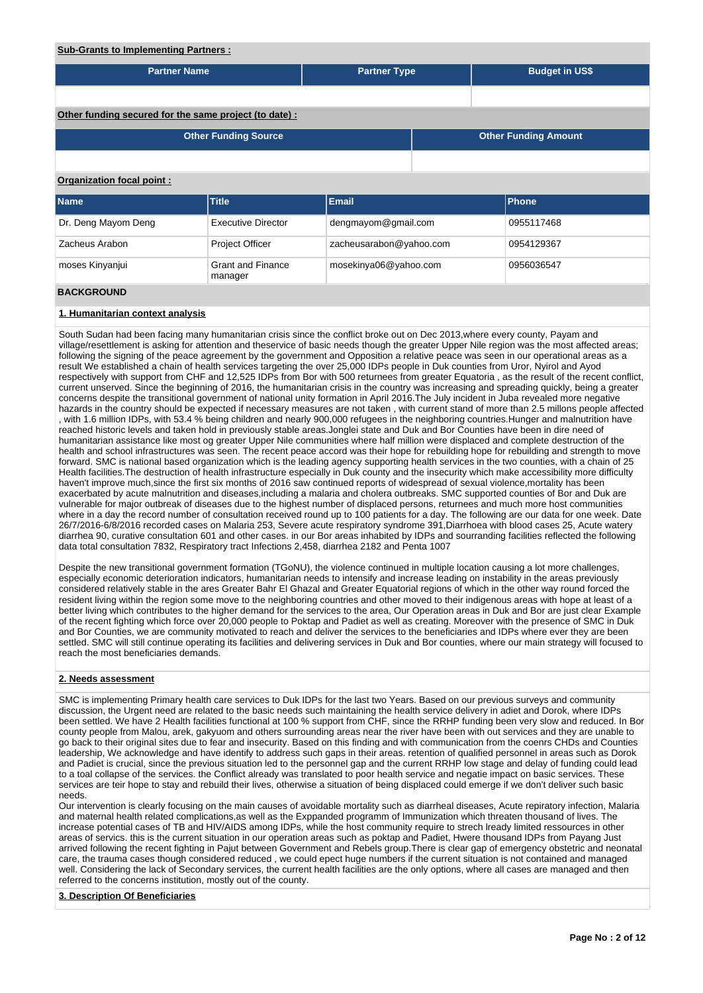## **Sub-Grants to Implementing Partners :**

| <u>Gas Granto to impromonting raithford in</u>         |                                     |                         |  |                             |  |  |  |  |  |  |
|--------------------------------------------------------|-------------------------------------|-------------------------|--|-----------------------------|--|--|--|--|--|--|
| <b>Partner Name</b>                                    |                                     | <b>Partner Type</b>     |  | <b>Budget in US\$</b>       |  |  |  |  |  |  |
|                                                        |                                     |                         |  |                             |  |  |  |  |  |  |
| Other funding secured for the same project (to date) : |                                     |                         |  |                             |  |  |  |  |  |  |
|                                                        | <b>Other Funding Source</b>         |                         |  | <b>Other Funding Amount</b> |  |  |  |  |  |  |
|                                                        |                                     |                         |  |                             |  |  |  |  |  |  |
| Organization focal point:                              |                                     |                         |  |                             |  |  |  |  |  |  |
| <b>Name</b>                                            | <b>Title</b>                        | <b>Email</b>            |  | Phone                       |  |  |  |  |  |  |
| Dr. Deng Mayom Deng                                    | <b>Executive Director</b>           | dengmayom@gmail.com     |  | 0955117468                  |  |  |  |  |  |  |
| Zacheus Arabon                                         | Project Officer                     | zacheusarabon@yahoo.com |  | 0954129367                  |  |  |  |  |  |  |
| moses Kinyanjui                                        | <b>Grant and Finance</b><br>manager | mosekinya06@yahoo.com   |  | 0956036547                  |  |  |  |  |  |  |
| <b>BACKGROUND</b>                                      |                                     |                         |  |                             |  |  |  |  |  |  |

## **1. Humanitarian context analysis**

South Sudan had been facing many humanitarian crisis since the conflict broke out on Dec 2013,where every county, Payam and village/resettlement is asking for attention and theservice of basic needs though the greater Upper Nile region was the most affected areas; following the signing of the peace agreement by the government and Opposition a relative peace was seen in our operational areas as a result We established a chain of health services targeting the over 25,000 IDPs people in Duk counties from Uror, Nyirol and Ayod respectively with support from CHF and 12,525 IDPs from Bor with 500 returnees from greater Equatoria , as the result of the recent conflict, current unserved. Since the beginning of 2016, the humanitarian crisis in the country was increasing and spreading quickly, being a greater concerns despite the transitional government of national unity formation in April 2016.The July incident in Juba revealed more negative hazards in the country should be expected if necessary measures are not taken , with current stand of more than 2.5 millons people affected , with 1.6 million IDPs, with 53.4 % being children and nearly 900,000 refugees in the neighboring countries.Hunger and malnutrition have reached historic levels and taken hold in previously stable areas.Jonglei state and Duk and Bor Counties have been in dire need of humanitarian assistance like most og greater Upper Nile communities where half million were displaced and complete destruction of the health and school infrastructures was seen. The recent peace accord was their hope for rebuilding hope for rebuilding and strength to move forward. SMC is national based organization which is the leading agency supporting health services in the two counties, with a chain of 25 Health facilities.The destruction of health infrastructure especially in Duk county and the insecurity which make accessibility more difficulty haven't improve much,since the first six months of 2016 saw continued reports of widespread of sexual violence,mortality has been exacerbated by acute malnutrition and diseases,including a malaria and cholera outbreaks. SMC supported counties of Bor and Duk are vulnerable for major outbreak of diseases due to the highest number of displaced persons, returnees and much more host communities where in a day the record number of consultation received round up to 100 patients for a day. The following are our data for one week. Date 26/7/2016-6/8/2016 recorded cases on Malaria 253, Severe acute respiratory syndrome 391,Diarrhoea with blood cases 25, Acute watery diarrhea 90, curative consultation 601 and other cases. in our Bor areas inhabited by IDPs and sourranding facilities reflected the following data total consultation 7832, Respiratory tract Infections 2,458, diarrhea 2182 and Penta 1007

Despite the new transitional government formation (TGoNU), the violence continued in multiple location causing a lot more challenges, especially economic deterioration indicators, humanitarian needs to intensify and increase leading on instability in the areas previously considered relatively stable in the ares Greater Bahr El Ghazal and Greater Equatorial regions of which in the other way round forced the resident living within the region some move to the neighboring countries and other moved to their indigenous areas with hope at least of a better living which contributes to the higher demand for the services to the area, Our Operation areas in Duk and Bor are just clear Example of the recent fighting which force over 20,000 people to Poktap and Padiet as well as creating. Moreover with the presence of SMC in Duk and Bor Counties, we are community motivated to reach and deliver the services to the beneficiaries and IDPs where ever they are been settled. SMC will still continue operating its facilities and delivering services in Duk and Bor counties, where our main strategy will focused to reach the most beneficiaries demands.

### **2. Needs assessment**

SMC is implementing Primary health care services to Duk IDPs for the last two Years. Based on our previous surveys and community discussion, the Urgent need are related to the basic needs such maintaining the health service delivery in adiet and Dorok, where IDPs been settled. We have 2 Health facilities functional at 100 % support from CHF, since the RRHP funding been very slow and reduced. In Bor county people from Malou, arek, gakyuom and others surrounding areas near the river have been with out services and they are unable to go back to their original sites due to fear and insecurity. Based on this finding and with communication from the coenrs CHDs and Counties leadership, We acknowledge and have identify to address such gaps in their areas. retention of qualified personnel in areas such as Dorok and Padiet is crucial, since the previous situation led to the personnel gap and the current RRHP low stage and delay of funding could lead to a toal collapse of the services. the Conflict already was translated to poor health service and negatie impact on basic services. These services are teir hope to stay and rebuild their lives, otherwise a situation of being displaced could emerge if we don't deliver such basic needs.

Our intervention is clearly focusing on the main causes of avoidable mortality such as diarrheal diseases, Acute repiratory infection, Malaria and maternal health related complications,as well as the Exppanded programm of Immunization which threaten thousand of lives. The increase potential cases of TB and HIV/AIDS among IDPs, while the host community require to strech lready limited ressources in other areas of servics. this is the current situation in our operation areas such as poktap and Padiet, Hwere thousand IDPs from Payang Just arrived following the recent fighting in Pajut between Government and Rebels group.There is clear gap of emergency obstetric and neonatal care, the trauma cases though considered reduced , we could epect huge numbers if the current situation is not contained and managed well. Considering the lack of Secondary services, the current health facilities are the only options, where all cases are managed and then referred to the concerns institution, mostly out of the county.

### **3. Description Of Beneficiaries**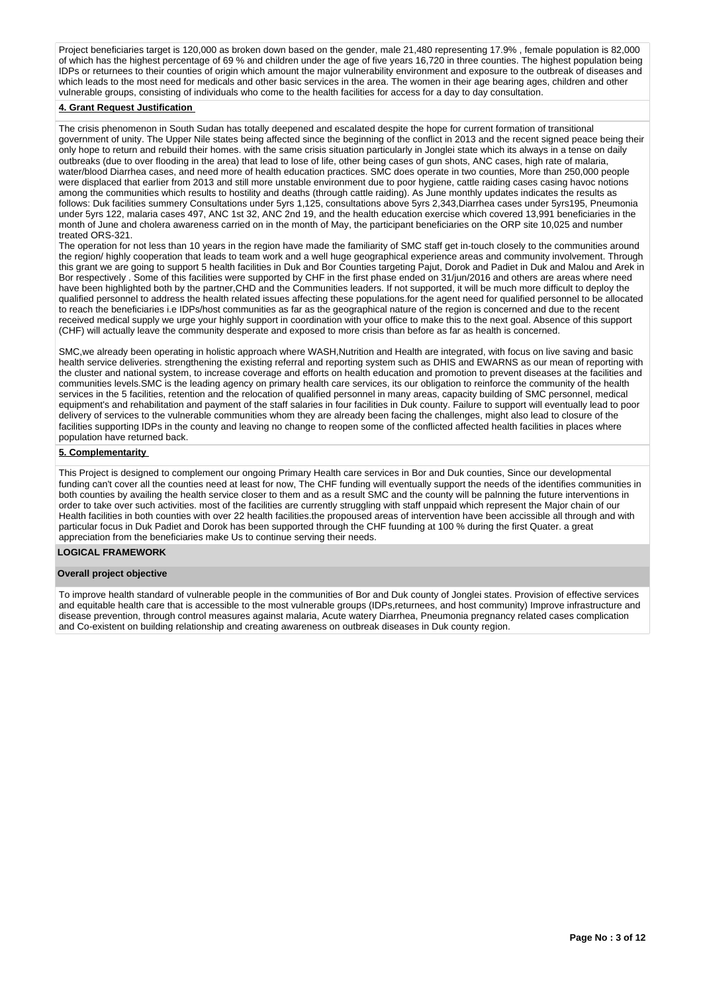Project beneficiaries target is 120,000 as broken down based on the gender, male 21,480 representing 17.9% , female population is 82,000 of which has the highest percentage of 69 % and children under the age of five years 16,720 in three counties. The highest population being IDPs or returnees to their counties of origin which amount the major vulnerability environment and exposure to the outbreak of diseases and which leads to the most need for medicals and other basic services in the area. The women in their age bearing ages, children and other vulnerable groups, consisting of individuals who come to the health facilities for access for a day to day consultation.

## **4. Grant Request Justification**

The crisis phenomenon in South Sudan has totally deepened and escalated despite the hope for current formation of transitional government of unity. The Upper Nile states being affected since the beginning of the conflict in 2013 and the recent signed peace being their only hope to return and rebuild their homes. with the same crisis situation particularly in Jonglei state which its always in a tense on daily outbreaks (due to over flooding in the area) that lead to lose of life, other being cases of gun shots, ANC cases, high rate of malaria, water/blood Diarrhea cases, and need more of health education practices. SMC does operate in two counties, More than 250,000 people were displaced that earlier from 2013 and still more unstable environment due to poor hygiene, cattle raiding cases casing havoc notions among the communities which results to hostility and deaths (through cattle raiding). As June monthly updates indicates the results as follows: Duk facilities summery Consultations under 5yrs 1,125, consultations above 5yrs 2,343,Diarrhea cases under 5yrs195, Pneumonia under 5yrs 122, malaria cases 497, ANC 1st 32, ANC 2nd 19, and the health education exercise which covered 13,991 beneficiaries in the month of June and cholera awareness carried on in the month of May, the participant beneficiaries on the ORP site 10,025 and number treated ORS-321.

The operation for not less than 10 years in the region have made the familiarity of SMC staff get in-touch closely to the communities around the region/ highly cooperation that leads to team work and a well huge geographical experience areas and community involvement. Through this grant we are going to support 5 health facilities in Duk and Bor Counties targeting Pajut, Dorok and Padiet in Duk and Malou and Arek in Bor respectively . Some of this facilities were supported by CHF in the first phase ended on 31/jun/2016 and others are areas where need have been highlighted both by the partner,CHD and the Communities leaders. If not supported, it will be much more difficult to deploy the qualified personnel to address the health related issues affecting these populations.for the agent need for qualified personnel to be allocated to reach the beneficiaries i.e IDPs/host communities as far as the geographical nature of the region is concerned and due to the recent received medical supply we urge your highly support in coordination with your office to make this to the next goal. Absence of this support (CHF) will actually leave the community desperate and exposed to more crisis than before as far as health is concerned.

SMC,we already been operating in holistic approach where WASH,Nutrition and Health are integrated, with focus on live saving and basic health service deliveries. strengthening the existing referral and reporting system such as DHIS and EWARNS as our mean of reporting with the cluster and national system, to increase coverage and efforts on health education and promotion to prevent diseases at the facilities and communities levels.SMC is the leading agency on primary health care services, its our obligation to reinforce the community of the health services in the 5 facilities, retention and the relocation of qualified personnel in many areas, capacity building of SMC personnel, medical equipment's and rehabilitation and payment of the staff salaries in four facilities in Duk county. Failure to support will eventually lead to poor delivery of services to the vulnerable communities whom they are already been facing the challenges, might also lead to closure of the facilities supporting IDPs in the county and leaving no change to reopen some of the conflicted affected health facilities in places where population have returned back.

### **5. Complementarity**

This Project is designed to complement our ongoing Primary Health care services in Bor and Duk counties, Since our developmental funding can't cover all the counties need at least for now, The CHF funding will eventually support the needs of the identifies communities in both counties by availing the health service closer to them and as a result SMC and the county will be palnning the future interventions in order to take over such activities. most of the facilities are currently struggling with staff unppaid which represent the Major chain of our Health facilities in both counties with over 22 health facilities.the propoused areas of intervention have been accissible all through and with particular focus in Duk Padiet and Dorok has been supported through the CHF fuunding at 100 % during the first Quater. a great appreciation from the beneficiaries make Us to continue serving their needs.

## **LOGICAL FRAMEWORK**

## **Overall project objective**

To improve health standard of vulnerable people in the communities of Bor and Duk county of Jonglei states. Provision of effective services and equitable health care that is accessible to the most vulnerable groups (IDPs,returnees, and host community) Improve infrastructure and disease prevention, through control measures against malaria, Acute watery Diarrhea, Pneumonia pregnancy related cases complication and Co-existent on building relationship and creating awareness on outbreak diseases in Duk county region.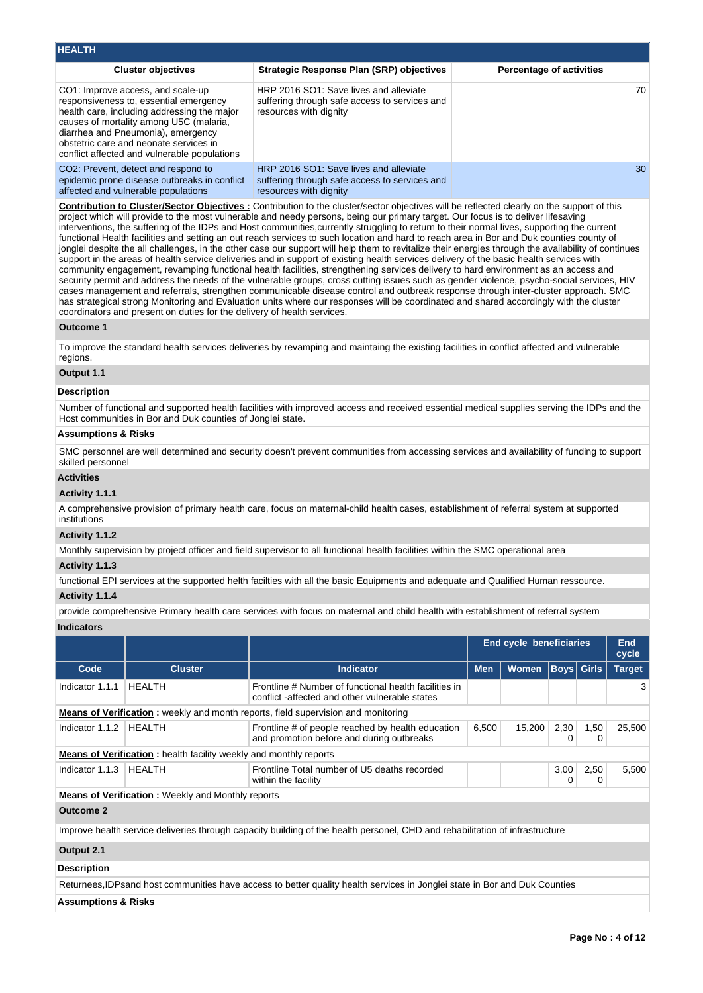| <b>HEALTH</b>                                                                                                                                                                                                                                                                                         |                                                                                                                   |                                 |
|-------------------------------------------------------------------------------------------------------------------------------------------------------------------------------------------------------------------------------------------------------------------------------------------------------|-------------------------------------------------------------------------------------------------------------------|---------------------------------|
| <b>Cluster objectives</b>                                                                                                                                                                                                                                                                             | <b>Strategic Response Plan (SRP) objectives</b>                                                                   | <b>Percentage of activities</b> |
| CO1: Improve access, and scale-up<br>responsiveness to, essential emergency<br>health care, including addressing the major<br>causes of mortality among U5C (malaria,<br>diarrhea and Pneumonia), emergency<br>obstetric care and neonate services in<br>conflict affected and vulnerable populations | HRP 2016 SO1: Save lives and alleviate<br>suffering through safe access to services and<br>resources with dignity | 70                              |
| CO2: Prevent, detect and respond to<br>epidemic prone disease outbreaks in conflict<br>affected and vulnerable populations                                                                                                                                                                            | HRP 2016 SO1: Save lives and alleviate<br>suffering through safe access to services and<br>resources with dignity | 30                              |

**Contribution to Cluster/Sector Objectives :** Contribution to the cluster/sector objectives will be reflected clearly on the support of this project which will provide to the most vulnerable and needy persons, being our primary target. Our focus is to deliver lifesaving interventions, the suffering of the IDPs and Host communities,currently struggling to return to their normal lives, supporting the current functional Health facilities and setting an out reach services to such location and hard to reach area in Bor and Duk counties county of jonglei despite the all challenges, in the other case our support will help them to revitalize their energies through the availability of continues support in the areas of health service deliveries and in support of existing health services delivery of the basic health services with community engagement, revamping functional health facilities, strengthening services delivery to hard environment as an access and security permit and address the needs of the vulnerable groups, cross cutting issues such as gender violence, psycho-social services, HIV cases management and referrals, strengthen communicable disease control and outbreak response through inter-cluster approach. SMC has strategical strong Monitoring and Evaluation units where our responses will be coordinated and shared accordingly with the cluster coordinators and present on duties for the delivery of health services.

### **Outcome 1**

To improve the standard health services deliveries by revamping and maintaing the existing facilities in conflict affected and vulnerable regions.

## **Output 1.1**

### **Description**

Number of functional and supported health facilities with improved access and received essential medical supplies serving the IDPs and the Host communities in Bor and Duk counties of Jonglei state.

## **Assumptions & Risks**

SMC personnel are well determined and security doesn't prevent communities from accessing services and availability of funding to support skilled personnel

## **Activities**

### **Activity 1.1.1**

A comprehensive provision of primary health care, focus on maternal-child health cases, establishment of referral system at supported institutions

## **Activity 1.1.2**

Monthly supervision by project officer and field supervisor to all functional health facilities within the SMC operational area

## **Activity 1.1.3**

functional EPI services at the supported helth facilties with all the basic Equipments and adequate and Qualified Human ressource. **Activity 1.1.4** 

provide comprehensive Primary health care services with focus on maternal and child health with establishment of referral system **Indicators**

### **End cycle beneficiaries Fnd cycle Code Cluster Indicator Men Women Boys Girls Target** Indicator 1.1.1 | HEALTH Frontline # Number of functional health facilities in conflict -affected and other vulnerable states 3 **Means of Verification :** weekly and month reports, field supervision and monitoring Indicator 1.1.2 | HEALTH Frontline # of people reached by health education and promotion before and during outbreaks 6,500 15,200 2,30  $\Omega$ 1,50 0 25,500 **Means of Verification :** health facility weekly and monthly reports Indicator 1.1.3 HEALTH Frontline Total number of U5 deaths recorded within the facility 3,00  $\Omega$ 2,50  $\Omega$ 5,500 **Means of Verification :** Weekly and Monthly reports **Outcome 2** Improve health service deliveries through capacity building of the health personel, CHD and rehabilitation of infrastructure **Output 2.1 Description**

Returnees,IDPsand host communities have access to better quality health services in Jonglei state in Bor and Duk Counties

**Assumptions & Risks**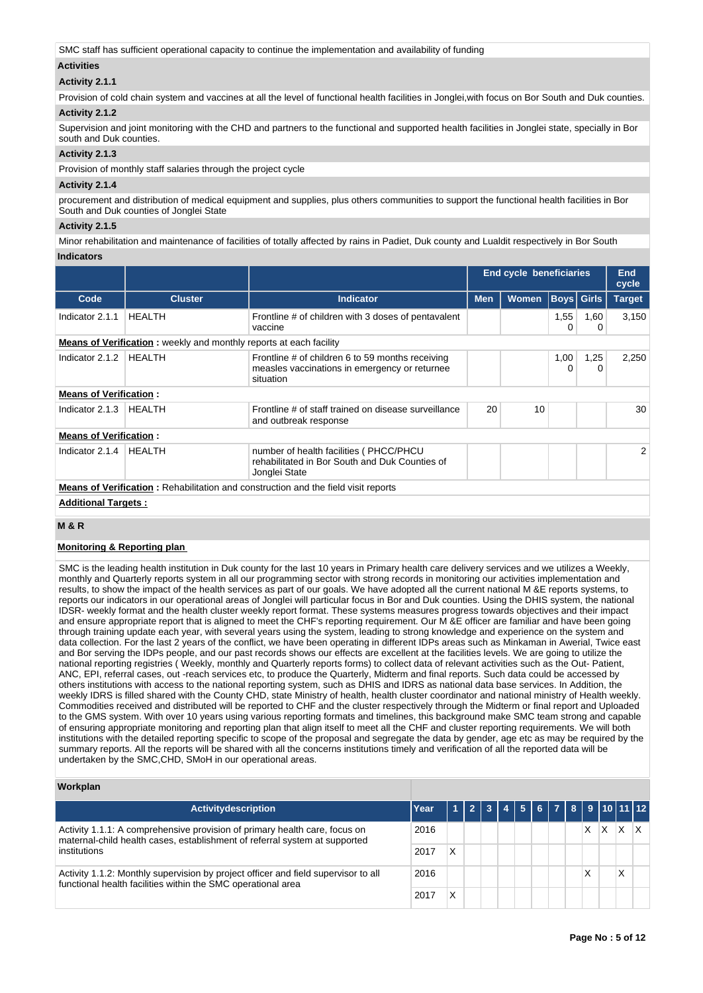SMC staff has sufficient operational capacity to continue the implementation and availability of funding

## **Activities**

## **Activity 2.1.1**

Provision of cold chain system and vaccines at all the level of functional health facilities in Jonglei, with focus on Bor South and Duk counties. **Activity 2.1.2** 

Supervision and joint monitoring with the CHD and partners to the functional and supported health facilities in Jonglei state, specially in Bor south and Duk counties

## **Activity 2.1.3**

Provision of monthly staff salaries through the project cycle

## **Activity 2.1.4**

procurement and distribution of medical equipment and supplies, plus others communities to support the functional health facilities in Bor South and Duk counties of Jonglei State

## **Activity 2.1.5**

Minor rehabilitation and maintenance of facilities of totally affected by rains in Padiet, Duk county and Lualdit respectively in Bor South **Indicators**

|                               |                                                                           |                                                                                                                |            | <b>End cycle beneficiaries</b> |                   | <b>End</b><br>cycle |                |
|-------------------------------|---------------------------------------------------------------------------|----------------------------------------------------------------------------------------------------------------|------------|--------------------------------|-------------------|---------------------|----------------|
| Code                          | <b>Cluster</b>                                                            | <b>Indicator</b>                                                                                               | <b>Men</b> | <b>Women</b>                   | <b>Boys</b> Girls |                     | <b>Target</b>  |
| Indicator 2.1.1               | <b>HEALTH</b>                                                             | Frontline # of children with 3 doses of pentavalent<br>vaccine                                                 |            |                                | 1,55              | 1,60<br>0           | 3,150          |
|                               | <b>Means of Verification:</b> weekly and monthly reports at each facility |                                                                                                                |            |                                |                   |                     |                |
| Indicator 2.1.2               | <b>HEALTH</b>                                                             | Frontline # of children 6 to 59 months receiving<br>measles vaccinations in emergency or returnee<br>situation |            |                                | 1,00<br>$\Omega$  | 1,25<br>0           | 2,250          |
| <b>Means of Verification:</b> |                                                                           |                                                                                                                |            |                                |                   |                     |                |
| Indicator 2.1.3               | HEALTH                                                                    | Frontline # of staff trained on disease surveillance<br>and outbreak response                                  | 20         | 10                             |                   |                     | 30             |
| <b>Means of Verification:</b> |                                                                           |                                                                                                                |            |                                |                   |                     |                |
| Indicator 2.1.4               | HEALTH                                                                    | number of health facilities (PHCC/PHCU<br>rehabilitated in Bor South and Duk Counties of<br>Jonglei State      |            |                                |                   |                     | $\overline{2}$ |
|                               |                                                                           | <b>Means of Verification:</b> Rehabilitation and construction and the field visit reports                      |            |                                |                   |                     |                |
| <b>Additional Targets:</b>    |                                                                           |                                                                                                                |            |                                |                   |                     |                |

## **M & R**

## **Monitoring & Reporting plan**

SMC is the leading health institution in Duk county for the last 10 years in Primary health care delivery services and we utilizes a Weekly, monthly and Quarterly reports system in all our programming sector with strong records in monitoring our activities implementation and results, to show the impact of the health services as part of our goals. We have adopted all the current national M &E reports systems, to reports our indicators in our operational areas of Jonglei will particular focus in Bor and Duk counties. Using the DHIS system, the national IDSR- weekly format and the health cluster weekly report format. These systems measures progress towards objectives and their impact and ensure appropriate report that is aligned to meet the CHF's reporting requirement. Our M &E officer are familiar and have been going through training update each year, with several years using the system, leading to strong knowledge and experience on the system and data collection. For the last 2 years of the conflict, we have been operating in different IDPs areas such as Minkaman in Awerial, Twice east and Bor serving the IDPs people, and our past records shows our effects are excellent at the facilities levels. We are going to utilize the national reporting registries ( Weekly, monthly and Quarterly reports forms) to collect data of relevant activities such as the Out- Patient, ANC, EPI, referral cases, out -reach services etc, to produce the Quarterly, Midterm and final reports. Such data could be accessed by others institutions with access to the national reporting system, such as DHIS and IDRS as national data base services. In Addition, the weekly IDRS is filled shared with the County CHD, state Ministry of health, health cluster coordinator and national ministry of Health weekly. Commodities received and distributed will be reported to CHF and the cluster respectively through the Midterm or final report and Uploaded to the GMS system. With over 10 years using various reporting formats and timelines, this background make SMC team strong and capable of ensuring appropriate monitoring and reporting plan that align itself to meet all the CHF and cluster reporting requirements. We will both institutions with the detailed reporting specific to scope of the proposal and segregate the data by gender, age etc as may be required by the summary reports. All the reports will be shared with all the concerns institutions timely and verification of all the reported data will be undertaken by the SMC,CHD, SMoH in our operational areas.

## **Workplan**

| Activitydescription                                                                                                                                                      | Year |   |  |  |  |   |                  |  |
|--------------------------------------------------------------------------------------------------------------------------------------------------------------------------|------|---|--|--|--|---|------------------|--|
| Activity 1.1.1: A comprehensive provision of primary health care, focus on<br>maternal-child health cases, establishment of referral system at supported<br>institutions |      |   |  |  |  | X | X                |  |
|                                                                                                                                                                          |      | Χ |  |  |  |   |                  |  |
| Activity 1.1.2: Monthly supervision by project officer and field supervisor to all<br>functional health facilities within the SMC operational area                       |      |   |  |  |  |   | $\check{ }$<br>⋏ |  |
|                                                                                                                                                                          |      | Χ |  |  |  |   |                  |  |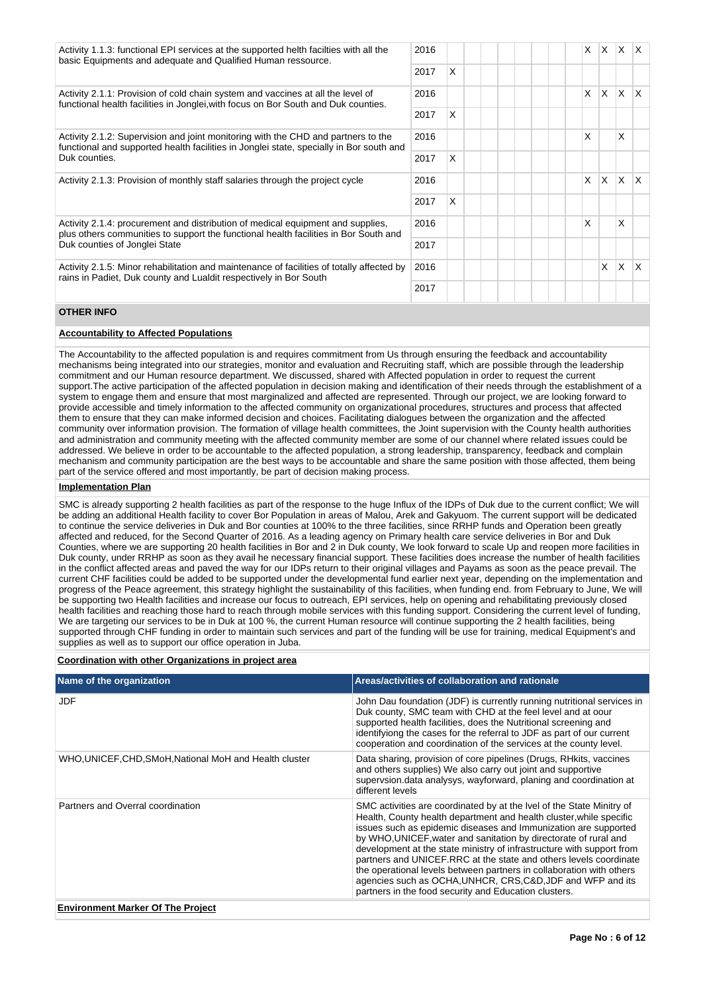| Activity 1.1.3: functional EPI services at the supported helth facilties with all the<br>basic Equipments and adequate and Qualified Human ressource.                                         |      |   |  | X        | X.       | X        | X.       |
|-----------------------------------------------------------------------------------------------------------------------------------------------------------------------------------------------|------|---|--|----------|----------|----------|----------|
|                                                                                                                                                                                               | 2017 | X |  |          |          |          |          |
| Activity 2.1.1: Provision of cold chain system and vaccines at all the level of<br>functional health facilities in Jonglei, with focus on Bor South and Duk counties.                         | 2016 |   |  | X        | <b>X</b> | X.       | ΙX.      |
| 2017                                                                                                                                                                                          |      | X |  |          |          |          |          |
| Activity 2.1.2: Supervision and joint monitoring with the CHD and partners to the<br>functional and supported health facilities in Jonglei state, specially in Bor south and<br>Duk counties. |      |   |  | X        |          | X        |          |
|                                                                                                                                                                                               |      | X |  |          |          |          |          |
| Activity 2.1.3: Provision of monthly staff salaries through the project cycle                                                                                                                 |      |   |  | $\times$ | IX.      | <b>X</b> | <b>X</b> |
|                                                                                                                                                                                               | 2017 | X |  |          |          |          |          |
| Activity 2.1.4: procurement and distribution of medical equipment and supplies,<br>plus others communities to support the functional health facilities in Bor South and                       | 2016 |   |  | X        |          | X        |          |
| Duk counties of Jonglei State                                                                                                                                                                 |      |   |  |          |          |          |          |
| 2016<br>Activity 2.1.5: Minor rehabilitation and maintenance of facilities of totally affected by<br>rains in Padiet, Duk county and Lualdit respectively in Bor South<br>2017                |      |   |  |          | X        | X        | X        |
|                                                                                                                                                                                               |      |   |  |          |          |          |          |

## **OTHER INFO**

## **Accountability to Affected Populations**

The Accountability to the affected population is and requires commitment from Us through ensuring the feedback and accountability mechanisms being integrated into our strategies, monitor and evaluation and Recruiting staff, which are possible through the leadership commitment and our Human resource department. We discussed, shared with Affected population in order to request the current support.The active participation of the affected population in decision making and identification of their needs through the establishment of a system to engage them and ensure that most marginalized and affected are represented. Through our project, we are looking forward to provide accessible and timely information to the affected community on organizational procedures, structures and process that affected them to ensure that they can make informed decision and choices. Facilitating dialogues between the organization and the affected community over information provision. The formation of village health committees, the Joint supervision with the County health authorities and administration and community meeting with the affected community member are some of our channel where related issues could be addressed. We believe in order to be accountable to the affected population, a strong leadership, transparency, feedback and complain mechanism and community participation are the best ways to be accountable and share the same position with those affected, them being part of the service offered and most importantly, be part of decision making process.

## **Implementation Plan**

SMC is already supporting 2 health facilities as part of the response to the huge Influx of the IDPs of Duk due to the current conflict; We will be adding an additional Health facility to cover Bor Population in areas of Malou, Arek and Gakyuom. The current support will be dedicated to continue the service deliveries in Duk and Bor counties at 100% to the three facilities, since RRHP funds and Operation been greatly affected and reduced, for the Second Quarter of 2016. As a leading agency on Primary health care service deliveries in Bor and Duk Counties, where we are supporting 20 health facilities in Bor and 2 in Duk county, We look forward to scale Up and reopen more facilities in Duk county, under RRHP as soon as they avail he necessary financial support. These facilities does increase the number of health facilities in the conflict affected areas and paved the way for our IDPs return to their original villages and Payams as soon as the peace prevail. The current CHF facilities could be added to be supported under the developmental fund earlier next year, depending on the implementation and progress of the Peace agreement, this strategy highlight the sustainability of this facilities, when funding end. from February to June, We will be supporting two Health facilities and increase our focus to outreach, EPI services, help on opening and rehabilitating previously closed health facilities and reaching those hard to reach through mobile services with this funding support. Considering the current level of funding, We are targeting our services to be in Duk at 100 %, the current Human resource will continue supporting the 2 health facilities, being supported through CHF funding in order to maintain such services and part of the funding will be use for training, medical Equipment's and supplies as well as to support our office operation in Juba.

## **Coordination with other Organizations in project area**

| Name of the organization                                | Areas/activities of collaboration and rationale                                                                                                                                                                                                                                                                                                                                                                                                                                                                                                                                                                                   |
|---------------------------------------------------------|-----------------------------------------------------------------------------------------------------------------------------------------------------------------------------------------------------------------------------------------------------------------------------------------------------------------------------------------------------------------------------------------------------------------------------------------------------------------------------------------------------------------------------------------------------------------------------------------------------------------------------------|
| <b>JDF</b>                                              | John Dau foundation (JDF) is currently running nutritional services in<br>Duk county, SMC team with CHD at the feel level and at oour<br>supported health facilities, does the Nutritional screening and<br>identifyiong the cases for the referral to JDF as part of our current<br>cooperation and coordination of the services at the county level.                                                                                                                                                                                                                                                                            |
| WHO, UNICEF, CHD, SMoH, National MoH and Health cluster | Data sharing, provision of core pipelines (Drugs, RHkits, vaccines<br>and others supplies) We also carry out joint and supportive<br>supervsion.data analysys, wayforward, planing and coordination at<br>different levels                                                                                                                                                                                                                                                                                                                                                                                                        |
| Partners and Overral coordination                       | SMC activities are coordinated by at the Ivel of the State Minitry of<br>Health, County health department and health cluster, while specific<br>issues such as epidemic diseases and Immunization are supported<br>by WHO, UNICEF, water and sanitation by directorate of rural and<br>development at the state ministry of infrastructure with support from<br>partners and UNICEF.RRC at the state and others levels coordinate<br>the operational levels between partners in collaboration with others<br>agencies such as OCHA, UNHCR, CRS, C&D, JDF and WFP and its<br>partners in the food security and Education clusters. |
| <b>Environment Marker Of The Project</b>                |                                                                                                                                                                                                                                                                                                                                                                                                                                                                                                                                                                                                                                   |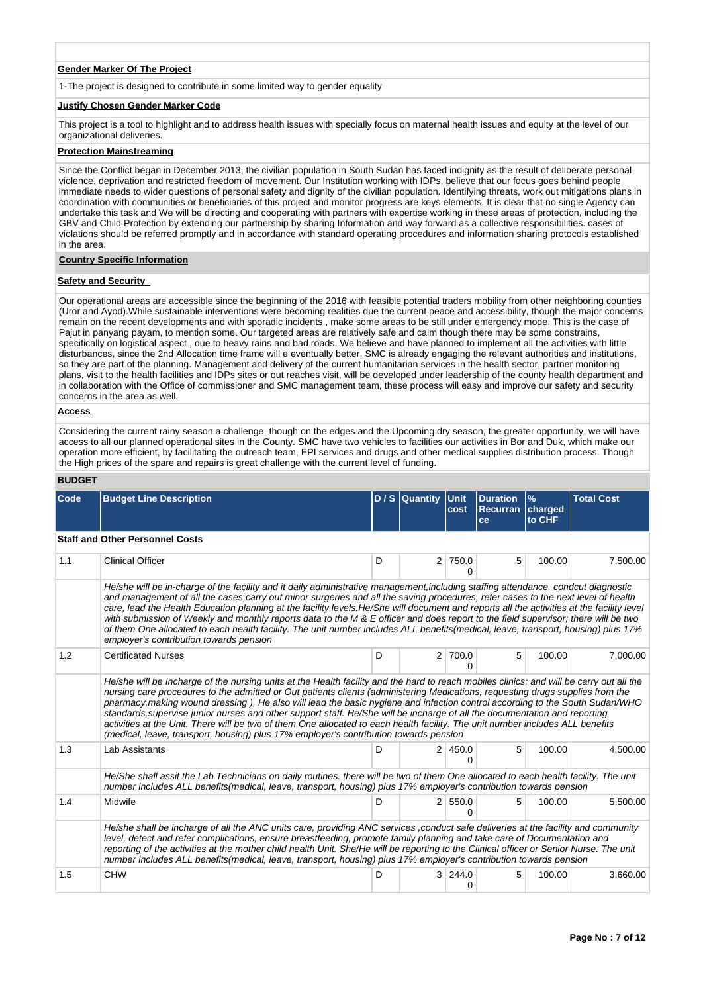## **Gender Marker Of The Project**

1-The project is designed to contribute in some limited way to gender equality

### **Justify Chosen Gender Marker Code**

This project is a tool to highlight and to address health issues with specially focus on maternal health issues and equity at the level of our organizational deliveries.

## **Protection Mainstreaming**

Since the Conflict began in December 2013, the civilian population in South Sudan has faced indignity as the result of deliberate personal violence, deprivation and restricted freedom of movement. Our Institution working with IDPs, believe that our focus goes behind people immediate needs to wider questions of personal safety and dignity of the civilian population. Identifying threats, work out mitigations plans in coordination with communities or beneficiaries of this project and monitor progress are keys elements. It is clear that no single Agency can undertake this task and We will be directing and cooperating with partners with expertise working in these areas of protection, including the GBV and Child Protection by extending our partnership by sharing Information and way forward as a collective responsibilities. cases of violations should be referred promptly and in accordance with standard operating procedures and information sharing protocols established in the area.

### **Country Specific Information**

## **Safety and Security**

Our operational areas are accessible since the beginning of the 2016 with feasible potential traders mobility from other neighboring counties (Uror and Ayod).While sustainable interventions were becoming realities due the current peace and accessibility, though the major concerns remain on the recent developments and with sporadic incidents , make some areas to be still under emergency mode, This is the case of Pajut in panyang payam, to mention some. Our targeted areas are relatively safe and calm though there may be some constrains, specifically on logistical aspect , due to heavy rains and bad roads. We believe and have planned to implement all the activities with little disturbances, since the 2nd Allocation time frame will e eventually better. SMC is already engaging the relevant authorities and institutions, so they are part of the planning. Management and delivery of the current humanitarian services in the health sector, partner monitoring plans, visit to the health facilities and IDPs sites or out reaches visit, will be developed under leadership of the county health department and in collaboration with the Office of commissioner and SMC management team, these process will easy and improve our safety and security concerns in the area as well.

## **Access**

Considering the current rainy season a challenge, though on the edges and the Upcoming dry season, the greater opportunity, we will have access to all our planned operational sites in the County. SMC have two vehicles to facilities our activities in Bor and Duk, which make our operation more efficient, by facilitating the outreach team, EPI services and drugs and other medical supplies distribution process. Though the High prices of the spare and repairs is great challenge with the current level of funding.

### **BUDGET**

| Code | <b>Budget Line Description</b>                                                                                                                                                                                                                                                                                                                                                                                                                                                                                                                                                                                                                                                                                                                                      |   | $D/S$ Quantity | <b>Unit</b><br>cost     | <b>Duration</b><br><b>Recurran</b><br>ce | $\%$<br>charged<br>to CHF | <b>Total Cost</b> |
|------|---------------------------------------------------------------------------------------------------------------------------------------------------------------------------------------------------------------------------------------------------------------------------------------------------------------------------------------------------------------------------------------------------------------------------------------------------------------------------------------------------------------------------------------------------------------------------------------------------------------------------------------------------------------------------------------------------------------------------------------------------------------------|---|----------------|-------------------------|------------------------------------------|---------------------------|-------------------|
|      | <b>Staff and Other Personnel Costs</b>                                                                                                                                                                                                                                                                                                                                                                                                                                                                                                                                                                                                                                                                                                                              |   |                |                         |                                          |                           |                   |
| 1.1  | <b>Clinical Officer</b>                                                                                                                                                                                                                                                                                                                                                                                                                                                                                                                                                                                                                                                                                                                                             | D |                | 2 750.0<br>0            | 5                                        | 100.00                    | 7,500.00          |
|      | He/she will be in-charge of the facility and it daily administrative management, including staffing attendance, condcut diagnostic<br>and management of all the cases, carry out minor surgeries and all the saving procedures, refer cases to the next level of health<br>care, lead the Health Education planning at the facility levels. He/She will document and reports all the activities at the facility level<br>with submission of Weekly and monthly reports data to the M & E officer and does report to the field supervisor; there will be two<br>of them One allocated to each health facility. The unit number includes ALL benefits (medical, leave, transport, housing) plus 17%<br>employer's contribution towards pension                        |   |                |                         |                                          |                           |                   |
| 1.2  | <b>Certificated Nurses</b>                                                                                                                                                                                                                                                                                                                                                                                                                                                                                                                                                                                                                                                                                                                                          | D |                | 2 700.0<br><sup>0</sup> | 5                                        | 100.00                    | 7,000.00          |
|      | He/she will be Incharge of the nursing units at the Health facility and the hard to reach mobiles clinics; and will be carry out all the<br>nursing care procedures to the admitted or Out patients clients (administering Medications, requesting drugs supplies from the<br>pharmacy, making wound dressing), He also will lead the basic hygiene and infection control according to the South Sudan/WHO<br>standards, supervise junior nurses and other support staff. He/She will be incharge of all the documentation and reporting<br>activities at the Unit. There will be two of them One allocated to each health facility. The unit number includes ALL benefits<br>(medical, leave, transport, housing) plus 17% employer's contribution towards pension |   |                |                         |                                          |                           |                   |
| 1.3  | <b>Lab Assistants</b>                                                                                                                                                                                                                                                                                                                                                                                                                                                                                                                                                                                                                                                                                                                                               | D | 2 <sup>1</sup> | 450.0<br><sup>0</sup>   | 5                                        | 100.00                    | 4,500.00          |
|      | He/She shall assit the Lab Technicians on daily routines. there will be two of them One allocated to each health facility. The unit<br>number includes ALL benefits(medical, leave, transport, housing) plus 17% employer's contribution towards pension                                                                                                                                                                                                                                                                                                                                                                                                                                                                                                            |   |                |                         |                                          |                           |                   |
| 1.4  | Midwife                                                                                                                                                                                                                                                                                                                                                                                                                                                                                                                                                                                                                                                                                                                                                             | D |                | 2 550.0<br>0            | 5                                        | 100.00                    | 5,500.00          |
|      | He/she shall be incharge of all the ANC units care, providing ANC services, conduct safe deliveries at the facility and community<br>level, detect and refer complications, ensure breastfeeding, promote family planning and take care of Documentation and<br>reporting of the activities at the mother child health Unit. She/He will be reporting to the Clinical officer or Senior Nurse. The unit<br>number includes ALL benefits(medical, leave, transport, housing) plus 17% employer's contribution towards pension                                                                                                                                                                                                                                        |   |                |                         |                                          |                           |                   |
| 1.5  | <b>CHW</b>                                                                                                                                                                                                                                                                                                                                                                                                                                                                                                                                                                                                                                                                                                                                                          | D | 3              | 244.0<br>0              | 5                                        | 100.00                    | 3.660.00          |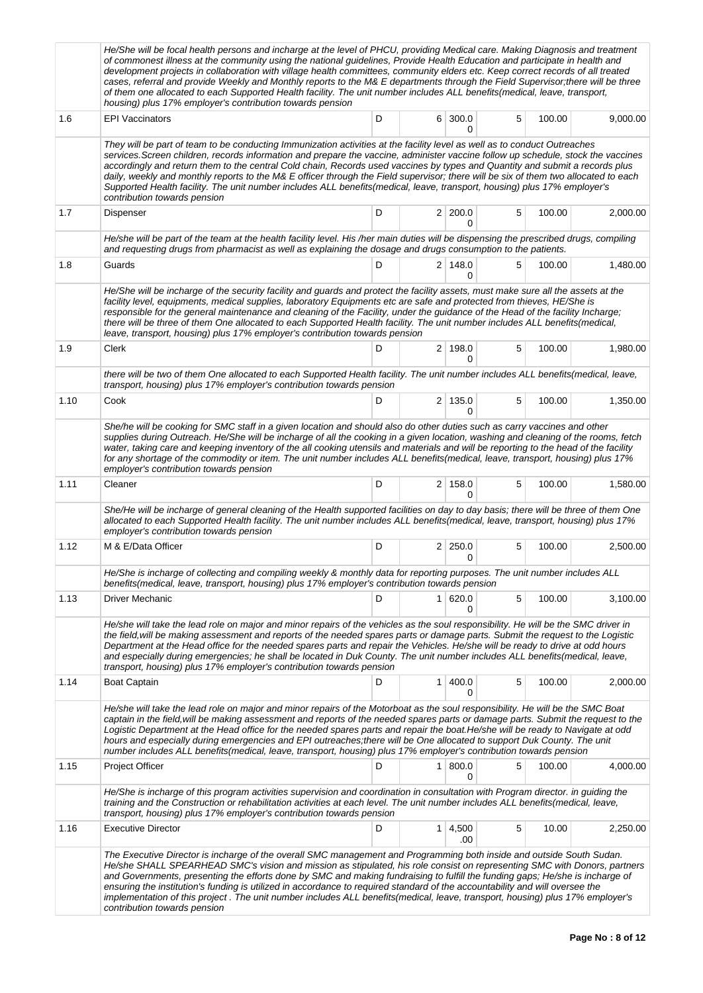|      | He/She will be focal health persons and incharge at the level of PHCU, providing Medical care. Making Diagnosis and treatment<br>of commonest illness at the community using the national guidelines, Provide Health Education and participate in health and<br>development projects in collaboration with village health committees, community elders etc. Keep correct records of all treated<br>cases, referral and provide Weekly and Monthly reports to the M& E departments through the Field Supervisor; there will be three<br>of them one allocated to each Supported Health facility. The unit number includes ALL benefits(medical, leave, transport,<br>housing) plus 17% employer's contribution towards pension |   |                |                       |   |        |          |  |  |
|------|-------------------------------------------------------------------------------------------------------------------------------------------------------------------------------------------------------------------------------------------------------------------------------------------------------------------------------------------------------------------------------------------------------------------------------------------------------------------------------------------------------------------------------------------------------------------------------------------------------------------------------------------------------------------------------------------------------------------------------|---|----------------|-----------------------|---|--------|----------|--|--|
| 1.6  | <b>EPI Vaccinators</b>                                                                                                                                                                                                                                                                                                                                                                                                                                                                                                                                                                                                                                                                                                        | D |                | 6 300.0<br>0          | 5 | 100.00 | 9,000.00 |  |  |
|      | They will be part of team to be conducting Immunization activities at the facility level as well as to conduct Outreaches<br>services. Screen children, records information and prepare the vaccine, administer vaccine follow up schedule, stock the vaccines<br>accordingly and return them to the central Cold chain, Records used vaccines by types and Quantity and submit a records plus<br>daily, weekly and monthly reports to the M& E officer through the Field supervisor; there will be six of them two allocated to each<br>Supported Health facility. The unit number includes ALL benefits(medical, leave, transport, housing) plus 17% employer's<br>contribution towards pension                             |   |                |                       |   |        |          |  |  |
| 1.7  | Dispenser                                                                                                                                                                                                                                                                                                                                                                                                                                                                                                                                                                                                                                                                                                                     | D |                | 2 200.0<br>0          | 5 | 100.00 | 2,000.00 |  |  |
|      | He/she will be part of the team at the health facility level. His /her main duties will be dispensing the prescribed drugs, compiling<br>and requesting drugs from pharmacist as well as explaining the dosage and drugs consumption to the patients.                                                                                                                                                                                                                                                                                                                                                                                                                                                                         |   |                |                       |   |        |          |  |  |
| 1.8  | Guards                                                                                                                                                                                                                                                                                                                                                                                                                                                                                                                                                                                                                                                                                                                        | D |                | $2 \mid 148.0$<br>0   | 5 | 100.00 | 1,480.00 |  |  |
|      | He/She will be incharge of the security facility and guards and protect the facility assets, must make sure all the assets at the<br>facility level, equipments, medical supplies, laboratory Equipments etc are safe and protected from thieves, HE/She is<br>responsible for the general maintenance and cleaning of the Facility, under the guidance of the Head of the facility Incharge;<br>there will be three of them One allocated to each Supported Health facility. The unit number includes ALL benefits(medical,<br>leave, transport, housing) plus 17% employer's contribution towards pension                                                                                                                   |   |                |                       |   |        |          |  |  |
| 1.9  | Clerk                                                                                                                                                                                                                                                                                                                                                                                                                                                                                                                                                                                                                                                                                                                         | D |                | 2 198.0<br>0          | 5 | 100.00 | 1,980.00 |  |  |
|      | there will be two of them One allocated to each Supported Health facility. The unit number includes ALL benefits(medical, leave,<br>transport, housing) plus 17% employer's contribution towards pension                                                                                                                                                                                                                                                                                                                                                                                                                                                                                                                      |   |                |                       |   |        |          |  |  |
| 1.10 | Cook                                                                                                                                                                                                                                                                                                                                                                                                                                                                                                                                                                                                                                                                                                                          | D |                | $2 \mid 135.0$<br>0   | 5 | 100.00 | 1,350.00 |  |  |
|      | She/he will be cooking for SMC staff in a given location and should also do other duties such as carry vaccines and other<br>supplies during Outreach. He/She will be incharge of all the cooking in a given location, washing and cleaning of the rooms, fetch<br>water, taking care and keeping inventory of the all cooking utensils and materials and will be reporting to the head of the facility<br>for any shortage of the commodity or item. The unit number includes ALL benefits(medical, leave, transport, housing) plus 17%<br>employer's contribution towards pension                                                                                                                                           |   |                |                       |   |        |          |  |  |
| 1.11 | Cleaner                                                                                                                                                                                                                                                                                                                                                                                                                                                                                                                                                                                                                                                                                                                       | D |                | 2 158.0<br>0          | 5 | 100.00 | 1,580.00 |  |  |
|      | She/He will be incharge of general cleaning of the Health supported facilities on day to day basis; there will be three of them One<br>allocated to each Supported Health facility. The unit number includes ALL benefits (medical, leave, transport, housing) plus 17%<br>employer's contribution towards pension                                                                                                                                                                                                                                                                                                                                                                                                            |   |                |                       |   |        |          |  |  |
| 1.12 | M & E/Data Officer                                                                                                                                                                                                                                                                                                                                                                                                                                                                                                                                                                                                                                                                                                            | D |                | $2 \mid 250.0$<br>0   | 5 | 100.00 | 2,500.00 |  |  |
|      | He/She is incharge of collecting and compiling weekly & monthly data for reporting purposes. The unit number includes ALL<br>benefits (medical, leave, transport, housing) plus 17% employer's contribution towards pension                                                                                                                                                                                                                                                                                                                                                                                                                                                                                                   |   |                |                       |   |        |          |  |  |
| 1.13 | Driver Mechanic                                                                                                                                                                                                                                                                                                                                                                                                                                                                                                                                                                                                                                                                                                               | D | 1 <sup>1</sup> | 620.0<br>0            | 5 | 100.00 | 3,100.00 |  |  |
|      | He/she will take the lead role on major and minor repairs of the vehicles as the soul responsibility. He will be the SMC driver in<br>the field, will be making assessment and reports of the needed spares parts or damage parts. Submit the request to the Logistic<br>Department at the Head office for the needed spares parts and repair the Vehicles. He/she will be ready to drive at odd hours<br>and especially during emergencies; he shall be located in Duk County. The unit number includes ALL benefits(medical, leave,<br>transport, housing) plus 17% employer's contribution towards pension                                                                                                                 |   |                |                       |   |        |          |  |  |
| 1.14 | <b>Boat Captain</b>                                                                                                                                                                                                                                                                                                                                                                                                                                                                                                                                                                                                                                                                                                           | D | 1 <sup>1</sup> | 400.0<br>0            | 5 | 100.00 | 2,000.00 |  |  |
|      | He/she will take the lead role on major and minor repairs of the Motorboat as the soul responsibility. He will be the SMC Boat<br>captain in the field, will be making assessment and reports of the needed spares parts or damage parts. Submit the request to the<br>Logistic Department at the Head office for the needed spares parts and repair the boat.He/she will be ready to Navigate at odd<br>hours and especially during emergencies and EPI outreaches; there will be One allocated to support Duk County. The unit<br>number includes ALL benefits (medical, leave, transport, housing) plus 17% employer's contribution towards pension                                                                        |   |                |                       |   |        |          |  |  |
| 1.15 | Project Officer                                                                                                                                                                                                                                                                                                                                                                                                                                                                                                                                                                                                                                                                                                               | D |                | 1   800.0<br>0        | 5 | 100.00 | 4,000.00 |  |  |
|      | He/She is incharge of this program activities supervision and coordination in consultation with Program director. in guiding the<br>training and the Construction or rehabilitation activities at each level. The unit number includes ALL benefits(medical, leave,<br>transport, housing) plus 17% employer's contribution towards pension                                                                                                                                                                                                                                                                                                                                                                                   |   |                |                       |   |        |          |  |  |
| 1.16 | <b>Executive Director</b>                                                                                                                                                                                                                                                                                                                                                                                                                                                                                                                                                                                                                                                                                                     | D |                | $1 \mid 4,500$<br>.00 | 5 | 10.00  | 2,250.00 |  |  |
|      | The Executive Director is incharge of the overall SMC management and Programming both inside and outside South Sudan.<br>He/she SHALL SPEARHEAD SMC's vision and mission as stipulated, his role consist on representing SMC with Donors, partners<br>and Governments, presenting the efforts done by SMC and making fundraising to fulfill the funding gaps; He/she is incharge of<br>ensuring the institution's funding is utilized in accordance to required standard of the accountability and will oversee the<br>implementation of this project. The unit number includes ALL benefits(medical, leave, transport, housing) plus 17% employer's<br>contribution towards pension                                          |   |                |                       |   |        |          |  |  |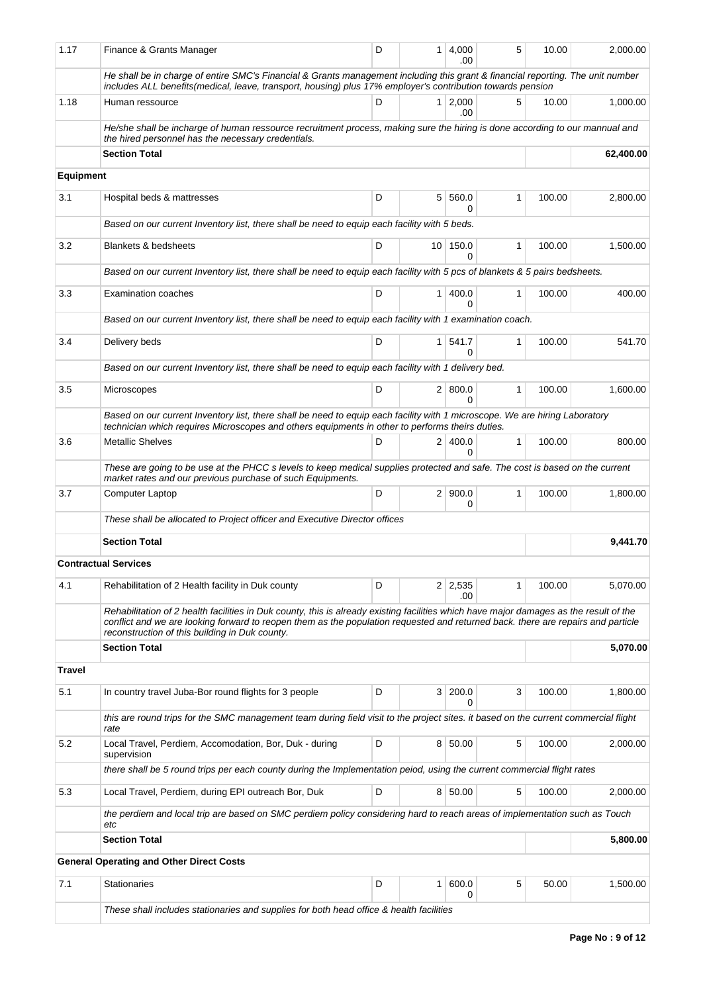| 1.17             | Finance & Grants Manager                                                                                                                                                                                                                                                   | D | 1              | 4,000<br>.00          | 5            | 10.00  | 2,000.00  |
|------------------|----------------------------------------------------------------------------------------------------------------------------------------------------------------------------------------------------------------------------------------------------------------------------|---|----------------|-----------------------|--------------|--------|-----------|
|                  | He shall be in charge of entire SMC's Financial & Grants management including this grant & financial reporting. The unit number<br>includes ALL benefits(medical, leave, transport, housing) plus 17% employer's contribution towards pension                              |   |                |                       |              |        |           |
| 1.18             | Human ressource                                                                                                                                                                                                                                                            | D | $\mathbf{1}$   | 2.000<br>.00          | 5            | 10.00  | 1,000.00  |
|                  | He/she shall be incharge of human ressource recruitment process, making sure the hiring is done according to our mannual and<br>the hired personnel has the necessary credentials.                                                                                         |   |                |                       |              |        |           |
|                  | <b>Section Total</b>                                                                                                                                                                                                                                                       |   |                |                       |              |        | 62,400.00 |
| <b>Equipment</b> |                                                                                                                                                                                                                                                                            |   |                |                       |              |        |           |
| 3.1              | Hospital beds & mattresses                                                                                                                                                                                                                                                 | D |                | 5 560.0<br>0          | 1            | 100.00 | 2,800.00  |
|                  | Based on our current Inventory list, there shall be need to equip each facility with 5 beds.                                                                                                                                                                               |   |                |                       |              |        |           |
| 3.2              | <b>Blankets &amp; bedsheets</b>                                                                                                                                                                                                                                            | D |                | 10 150.0<br>0         | 1            | 100.00 | 1,500.00  |
|                  | Based on our current Inventory list, there shall be need to equip each facility with 5 pcs of blankets & 5 pairs bedsheets.                                                                                                                                                |   |                |                       |              |        |           |
| 3.3              | <b>Examination coaches</b>                                                                                                                                                                                                                                                 | D | $\mathbf{1}$   | 400.0<br><sup>0</sup> | 1            | 100.00 | 400.00    |
|                  | Based on our current Inventory list, there shall be need to equip each facility with 1 examination coach.                                                                                                                                                                  |   |                |                       |              |        |           |
| 3.4              | Delivery beds                                                                                                                                                                                                                                                              | D | 1 <sup>1</sup> | 541.7<br>0            | $\mathbf{1}$ | 100.00 | 541.70    |
|                  | Based on our current Inventory list, there shall be need to equip each facility with 1 delivery bed.                                                                                                                                                                       |   |                |                       |              |        |           |
| 3.5              | Microscopes                                                                                                                                                                                                                                                                | D |                | 2   800.0<br>0        | $\mathbf{1}$ | 100.00 | 1,600.00  |
|                  | Based on our current Inventory list, there shall be need to equip each facility with 1 microscope. We are hiring Laboratory<br>technician which requires Microscopes and others equipments in other to performs theirs duties.                                             |   |                |                       |              |        |           |
| 3.6              | <b>Metallic Shelves</b>                                                                                                                                                                                                                                                    | D |                | 2 400.0               | $\mathbf{1}$ | 100.00 | 800.00    |
|                  | These are going to be use at the PHCC s levels to keep medical supplies protected and safe. The cost is based on the current                                                                                                                                               |   |                | $\Omega$              |              |        |           |
| 3.7              | market rates and our previous purchase of such Equipments.<br><b>Computer Laptop</b>                                                                                                                                                                                       | D |                | 2   900.0             | 1            | 100.00 | 1,800.00  |
|                  | These shall be allocated to Project officer and Executive Director offices                                                                                                                                                                                                 |   |                | 0                     |              |        |           |
|                  | <b>Section Total</b>                                                                                                                                                                                                                                                       |   |                |                       |              |        | 9,441.70  |
|                  | <b>Contractual Services</b>                                                                                                                                                                                                                                                |   |                |                       |              |        |           |
| 4.1              | Rehabilitation of 2 Health facility in Duk county                                                                                                                                                                                                                          | D |                | $2 \mid 2,535$        | 1            | 100.00 | 5,070.00  |
|                  | Rehabilitation of 2 health facilities in Duk county, this is already existing facilities which have major damages as the result of the<br>conflict and we are looking forward to reopen them as the population requested and returned back, there are repairs and particle |   |                | .00                   |              |        |           |
|                  | reconstruction of this building in Duk county.<br><b>Section Total</b>                                                                                                                                                                                                     |   |                |                       |              |        | 5,070.00  |
| <b>Travel</b>    |                                                                                                                                                                                                                                                                            |   |                |                       |              |        |           |
|                  |                                                                                                                                                                                                                                                                            |   |                |                       |              |        |           |
| 5.1              | In country travel Juba-Bor round flights for 3 people                                                                                                                                                                                                                      | D | 3 <sup>1</sup> | 200.0<br>0            | 3            | 100.00 | 1,800.00  |
|                  | this are round trips for the SMC management team during field visit to the project sites, it based on the current commercial flight<br>rate                                                                                                                                |   |                |                       |              |        |           |
| 5.2              | Local Travel, Perdiem, Accomodation, Bor, Duk - during<br>supervision                                                                                                                                                                                                      | D |                | 8 50.00               | 5            | 100.00 | 2,000.00  |
|                  | there shall be 5 round trips per each county during the Implementation peiod, using the current commercial flight rates                                                                                                                                                    |   |                |                       |              |        |           |
| 5.3              | Local Travel, Perdiem, during EPI outreach Bor, Duk                                                                                                                                                                                                                        | D |                | 8 50.00               | 5            | 100.00 | 2,000.00  |
|                  | the perdiem and local trip are based on SMC perdiem policy considering hard to reach areas of implementation such as Touch<br>etc                                                                                                                                          |   |                |                       |              |        |           |
|                  | <b>Section Total</b>                                                                                                                                                                                                                                                       |   |                |                       |              |        | 5,800.00  |
|                  | <b>General Operating and Other Direct Costs</b>                                                                                                                                                                                                                            |   |                |                       |              |        |           |
| 7.1              | <b>Stationaries</b>                                                                                                                                                                                                                                                        | D | 1              | 600.0<br>0            | 5            | 50.00  | 1,500.00  |
|                  | These shall includes stationaries and supplies for both head office & health facilities                                                                                                                                                                                    |   |                |                       |              |        |           |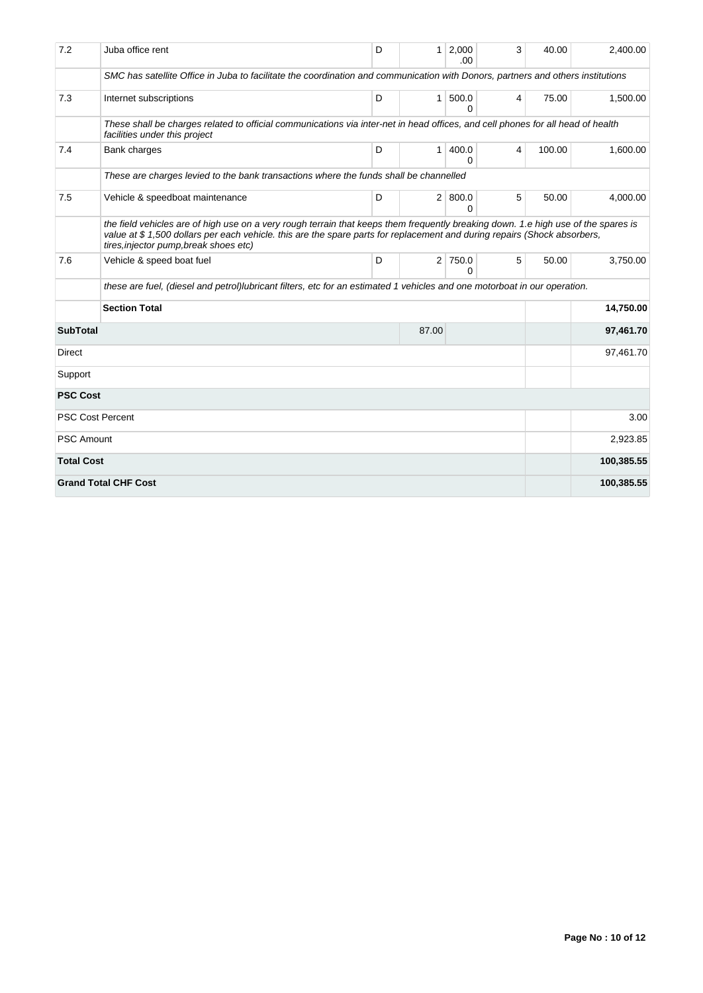| 7.2               | Juba office rent                                                                                                                                                                                                                                                                                         | D | 1 <sup>1</sup> | 2,000<br>.00          | 3 | 40.00  | 2.400.00   |  |  |  |  |  |
|-------------------|----------------------------------------------------------------------------------------------------------------------------------------------------------------------------------------------------------------------------------------------------------------------------------------------------------|---|----------------|-----------------------|---|--------|------------|--|--|--|--|--|
|                   | SMC has satellite Office in Juba to facilitate the coordination and communication with Donors, partners and others institutions                                                                                                                                                                          |   |                |                       |   |        |            |  |  |  |  |  |
| 7.3               | Internet subscriptions                                                                                                                                                                                                                                                                                   | D | 1 <sup>1</sup> | 500.0<br>0            | 4 | 75.00  | 1,500.00   |  |  |  |  |  |
|                   | These shall be charges related to official communications via inter-net in head offices, and cell phones for all head of health<br>facilities under this project                                                                                                                                         |   |                |                       |   |        |            |  |  |  |  |  |
| 7.4               | Bank charges                                                                                                                                                                                                                                                                                             | D | 1 <sup>1</sup> | 400.0<br>0            | 4 | 100.00 | 1,600.00   |  |  |  |  |  |
|                   | These are charges levied to the bank transactions where the funds shall be channelled                                                                                                                                                                                                                    |   |                |                       |   |        |            |  |  |  |  |  |
| 7.5               | Vehicle & speedboat maintenance                                                                                                                                                                                                                                                                          | D |                | 2   800.0<br>$\Omega$ | 5 | 50.00  | 4,000.00   |  |  |  |  |  |
|                   | the field vehicles are of high use on a very rough terrain that keeps them frequently breaking down. 1.e high use of the spares is<br>value at \$1,500 dollars per each vehicle, this are the spare parts for replacement and during repairs (Shock absorbers,<br>tires, injector pump, break shoes etc) |   |                |                       |   |        |            |  |  |  |  |  |
| 7.6               | Vehicle & speed boat fuel                                                                                                                                                                                                                                                                                | D |                | 2 750.0<br>0          | 5 | 50.00  | 3,750.00   |  |  |  |  |  |
|                   | these are fuel, (diesel and petrol)lubricant filters, etc for an estimated 1 vehicles and one motorboat in our operation.                                                                                                                                                                                |   |                |                       |   |        |            |  |  |  |  |  |
|                   | <b>Section Total</b><br>14,750.00                                                                                                                                                                                                                                                                        |   |                |                       |   |        |            |  |  |  |  |  |
| <b>SubTotal</b>   |                                                                                                                                                                                                                                                                                                          |   | 87.00          |                       |   |        | 97,461.70  |  |  |  |  |  |
| Direct            |                                                                                                                                                                                                                                                                                                          |   |                |                       |   |        | 97,461.70  |  |  |  |  |  |
| Support           |                                                                                                                                                                                                                                                                                                          |   |                |                       |   |        |            |  |  |  |  |  |
| <b>PSC Cost</b>   |                                                                                                                                                                                                                                                                                                          |   |                |                       |   |        |            |  |  |  |  |  |
|                   | <b>PSC Cost Percent</b>                                                                                                                                                                                                                                                                                  |   |                | 3.00                  |   |        |            |  |  |  |  |  |
| <b>PSC Amount</b> |                                                                                                                                                                                                                                                                                                          |   | 2,923.85       |                       |   |        |            |  |  |  |  |  |
| <b>Total Cost</b> |                                                                                                                                                                                                                                                                                                          |   |                | 100,385.55            |   |        |            |  |  |  |  |  |
|                   | <b>Grand Total CHF Cost</b>                                                                                                                                                                                                                                                                              |   |                |                       |   |        | 100,385.55 |  |  |  |  |  |